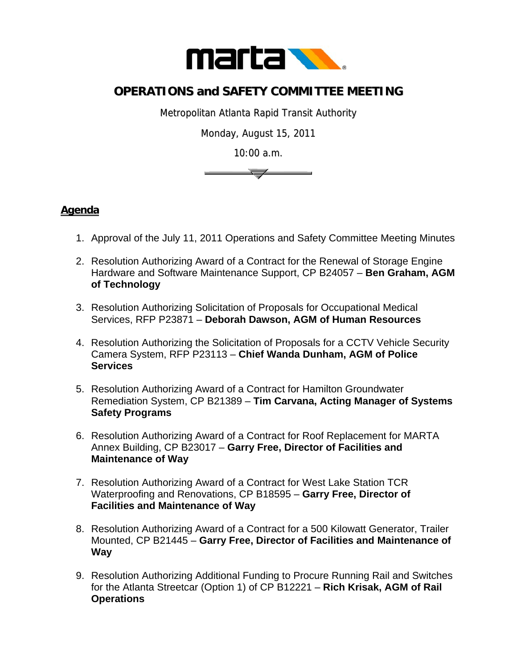

## **OPERATIONS and SAFETY COMMITTEE MEETING**

Metropolitan Atlanta Rapid Transit Authority

Monday, August 15, 2011

10:00 a.m.



## **Agenda**

- 1. Approval of the July 11, 2011 Operations and Safety Committee Meeting Minutes
- 2. Resolution Authorizing Award of a Contract for the Renewal of Storage Engine Hardware and Software Maintenance Support, CP B24057 – **Ben Graham, AGM of Technology**
- 3. Resolution Authorizing Solicitation of Proposals for Occupational Medical Services, RFP P23871 – **Deborah Dawson, AGM of Human Resources**
- 4. Resolution Authorizing the Solicitation of Proposals for a CCTV Vehicle Security Camera System, RFP P23113 – **Chief Wanda Dunham, AGM of Police Services**
- 5. Resolution Authorizing Award of a Contract for Hamilton Groundwater Remediation System, CP B21389 – **Tim Carvana, Acting Manager of Systems Safety Programs**
- 6. Resolution Authorizing Award of a Contract for Roof Replacement for MARTA Annex Building, CP B23017 – **Garry Free, Director of Facilities and Maintenance of Way**
- 7. Resolution Authorizing Award of a Contract for West Lake Station TCR Waterproofing and Renovations, CP B18595 – **Garry Free, Director of Facilities and Maintenance of Way**
- 8. Resolution Authorizing Award of a Contract for a 500 Kilowatt Generator, Trailer Mounted, CP B21445 – **Garry Free, Director of Facilities and Maintenance of Way**
- 9. Resolution Authorizing Additional Funding to Procure Running Rail and Switches for the Atlanta Streetcar (Option 1) of CP B12221 – **Rich Krisak, AGM of Rail Operations**